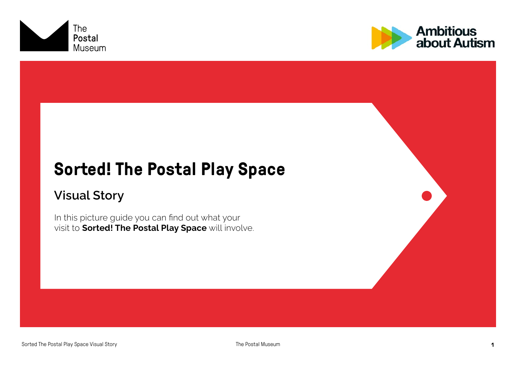



## **Sorted! The Postal Play Space**

#### Visual Story

In this picture guide you can find out what your visit to **Sorted! The Postal Play Space** will involve.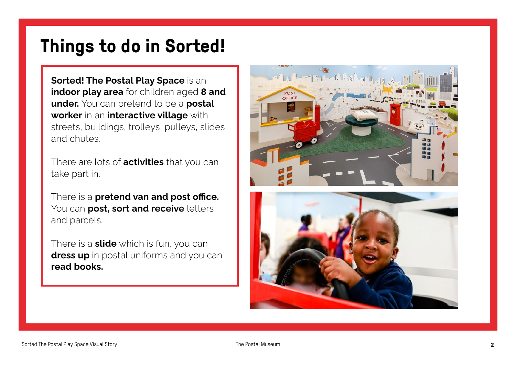## **Things to do in Sorted!**

Sorted! The Postal Play Space is an indoor play area for children aged 8 and under. You can pretend to be a postal worker in an interactive village with streets, buildings, trolleys, pulleys, slides and chutes.

There are lots of **activities** that you can take part in.

There is a **pretend van and post office.** You can **post, sort and receive** letters and parcels.

There is a **slide** which is fun, you can dress up in postal uniforms and you can read books.



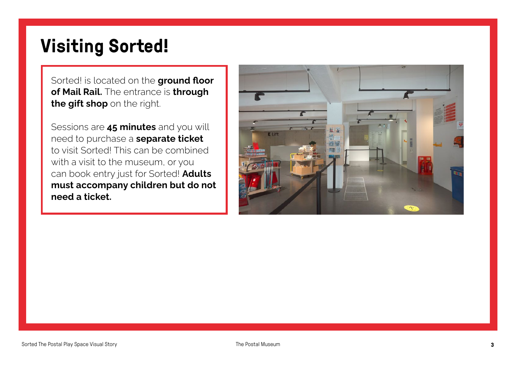# **Visiting Sorted!**

Sorted! is located on the ground floor of Mail Rail. The entrance is through the gift shop on the right.

Sessions are 45 minutes and you will need to purchase a **separate ticket** to visit Sorted! This can be combined with a visit to the museum, or you can book entry just for Sorted! Adults must accompany children but do not need a ticket.

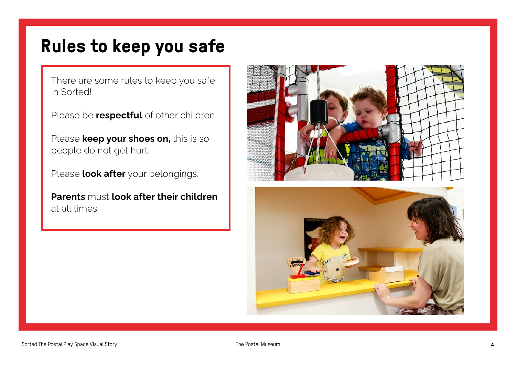### **Rules to keep you safe**

There are some rules to keep you safe in Sorted!

Please be **respectful** of other children.

Please **keep your shoes on**, this is so people do not get hurt.

Please look after your belongings.

Parents must look after their children at all times.